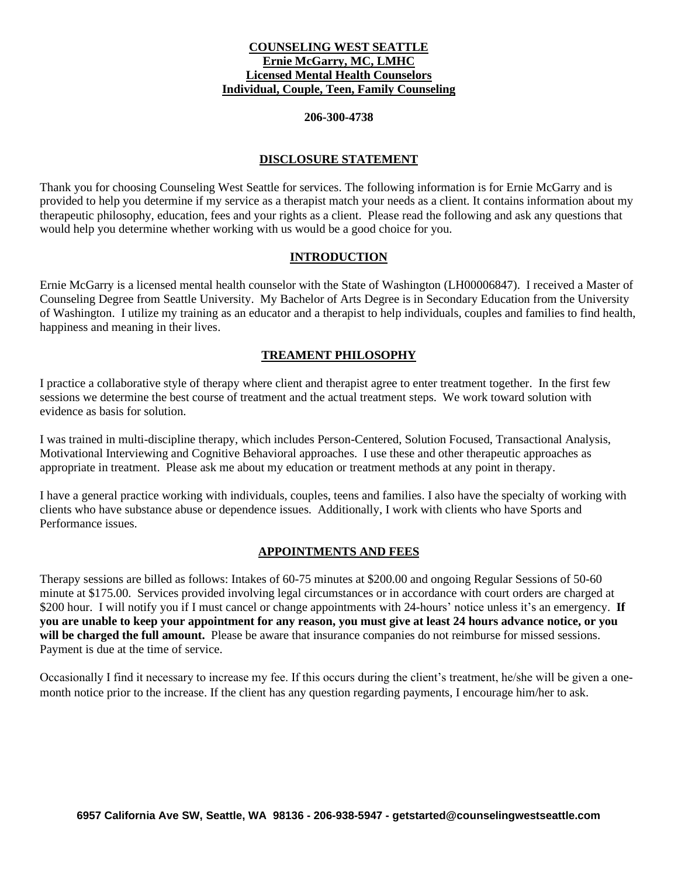# **COUNSELING WEST SEATTLE Ernie McGarry, MC, LMHC Licensed Mental Health Counselors Individual, Couple, Teen, Family Counseling**

### **206-300-4738**

### **DISCLOSURE STATEMENT**

Thank you for choosing Counseling West Seattle for services. The following information is for Ernie McGarry and is provided to help you determine if my service as a therapist match your needs as a client. It contains information about my therapeutic philosophy, education, fees and your rights as a client. Please read the following and ask any questions that would help you determine whether working with us would be a good choice for you.

### **INTRODUCTION**

Ernie McGarry is a licensed mental health counselor with the State of Washington (LH00006847). I received a Master of Counseling Degree from Seattle University. My Bachelor of Arts Degree is in Secondary Education from the University of Washington. I utilize my training as an educator and a therapist to help individuals, couples and families to find health, happiness and meaning in their lives.

## **TREAMENT PHILOSOPHY**

I practice a collaborative style of therapy where client and therapist agree to enter treatment together. In the first few sessions we determine the best course of treatment and the actual treatment steps. We work toward solution with evidence as basis for solution.

I was trained in multi-discipline therapy, which includes Person-Centered, Solution Focused, Transactional Analysis, Motivational Interviewing and Cognitive Behavioral approaches. I use these and other therapeutic approaches as appropriate in treatment. Please ask me about my education or treatment methods at any point in therapy.

I have a general practice working with individuals, couples, teens and families. I also have the specialty of working with clients who have substance abuse or dependence issues. Additionally, I work with clients who have Sports and Performance issues.

## **APPOINTMENTS AND FEES**

Therapy sessions are billed as follows: Intakes of 60-75 minutes at \$200.00 and ongoing Regular Sessions of 50-60 minute at \$175.00. Services provided involving legal circumstances or in accordance with court orders are charged at \$200 hour. I will notify you if I must cancel or change appointments with 24-hours' notice unless it's an emergency. **If you are unable to keep your appointment for any reason, you must give at least 24 hours advance notice, or you will be charged the full amount.** Please be aware that insurance companies do not reimburse for missed sessions. Payment is due at the time of service.

Occasionally I find it necessary to increase my fee. If this occurs during the client's treatment, he/she will be given a onemonth notice prior to the increase. If the client has any question regarding payments, I encourage him/her to ask.